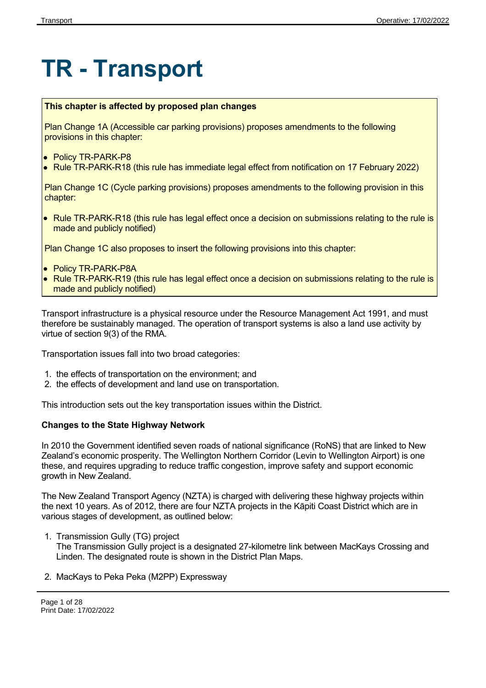# **TR - Transport**

### **This chapter is affected by proposed plan changes**

Plan Change 1A (Accessible car parking provisions) proposes amendments to the following provisions in this chapter:

- Policy TR-PARK-P8
- Rule TR-PARK-R18 (this rule has immediate legal effect from notification on 17 February 2022)

Plan Change 1C (Cycle parking provisions) proposes amendments to the following provision in this chapter:

• Rule TR-PARK-R18 (this rule has legal effect once a decision on submissions relating to the rule is made and publicly notified)

Plan Change 1C also proposes to insert the following provisions into this chapter:

- Policy TR-PARK-P8A
- Rule TR-PARK-R19 (this rule has legal effect once a decision on submissions relating to the rule is made and publicly notified)

Transport infrastructure is a physical resource under the Resource Management Act 1991, and must therefore be sustainably managed. The operation of transport systems is also a land use activity by virtue of section 9(3) of the RMA.

Transportation issues fall into two broad categories:

- 1. the effects of transportation on the environment; and
- 2. the effects of development and land use on transportation.

This introduction sets out the key transportation issues within the District.

### **Changes to the State Highway Network**

In 2010 the Government identified seven roads of national significance (RoNS) that are linked to New Zealand's economic prosperity. The Wellington Northern Corridor (Levin to Wellington Airport) is one these, and requires upgrading to reduce traffic congestion, improve safety and support economic growth in New Zealand.

The New Zealand Transport Agency (NZTA) is charged with delivering these highway projects within the next 10 years. As of 2012, there are four NZTA projects in the Kāpiti Coast District which are in various stages of development, as outlined below:

1. Transmission Gully (TG) project

The Transmission Gully project is a designated 27-kilometre link between MacKays Crossing and Linden. The designated route is shown in the District Plan Maps.

2. MacKays to Peka Peka (M2PP) Expressway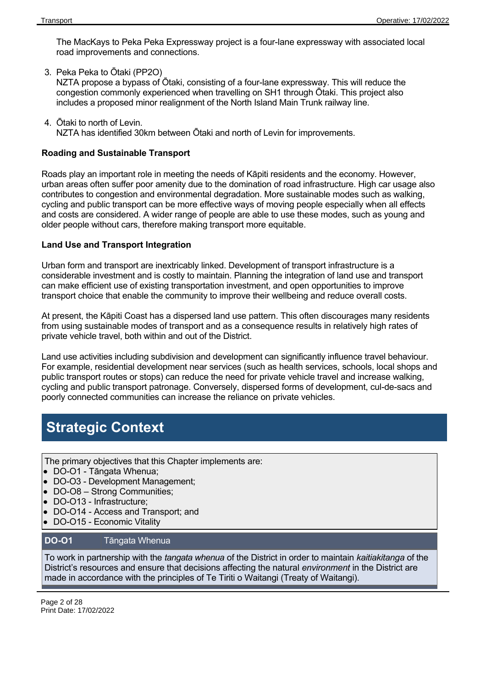The MacKays to Peka Peka Expressway project is a four-lane expressway with associated local road improvements and connections.

3. Peka Peka to Ōtaki (PP2O)

NZTA propose a bypass of Ōtaki, consisting of a four-lane expressway. This will reduce the congestion commonly experienced when travelling on SH1 through Ōtaki. This project also includes a proposed minor realignment of the North Island Main Trunk railway line.

4. Ōtaki to north of Levin. NZTA has identified 30km between Ōtaki and north of Levin for improvements.

### **Roading and Sustainable Transport**

Roads play an important role in meeting the needs of Kāpiti residents and the economy. However, urban areas often suffer poor amenity due to the domination of road infrastructure. High car usage also contributes to congestion and environmental degradation. More sustainable modes such as walking, cycling and public transport can be more effective ways of moving people especially when all effects and costs are considered. A wider range of people are able to use these modes, such as young and older people without cars, therefore making transport more equitable.

### **Land Use and Transport Integration**

Urban form and transport are inextricably linked. Development of transport infrastructure is a considerable investment and is costly to maintain. Planning the integration of land use and transport can make efficient use of existing transportation investment, and open opportunities to improve transport choice that enable the community to improve their wellbeing and reduce overall costs.

At present, the Kāpiti Coast has a dispersed land use pattern. This often discourages many residents from using sustainable modes of transport and as a consequence results in relatively high rates of private vehicle travel, both within and out of the District.

Land use activities including subdivision and development can significantly influence travel behaviour. For example, residential development near services (such as health services, schools, local shops and public transport routes or stops) can reduce the need for private vehicle travel and increase walking, cycling and public transport patronage. Conversely, dispersed forms of development, cul-de-sacs and poorly connected communities can increase the reliance on private vehicles.

## **Strategic Context**

The primary objectives that this Chapter implements are:

- DO-O1 Tāngata Whenua;
- DO-O3 Development Management;
- DO-O8 Strong Communities;
- DO-O13 Infrastructure;
- DO-O14 Access and Transport; and
- DO-O15 Economic Vitality

### **DO-O1** Tāngata Whenua

To work in partnership with the *tangata whenua* of the District in order to maintain *kaitiakitanga* of the District's resources and ensure that decisions affecting the natural *environment* in the District are made in accordance with the principles of Te Tiriti o Waitangi (Treaty of Waitangi).

Page 2 of 28 Print Date: 17/02/2022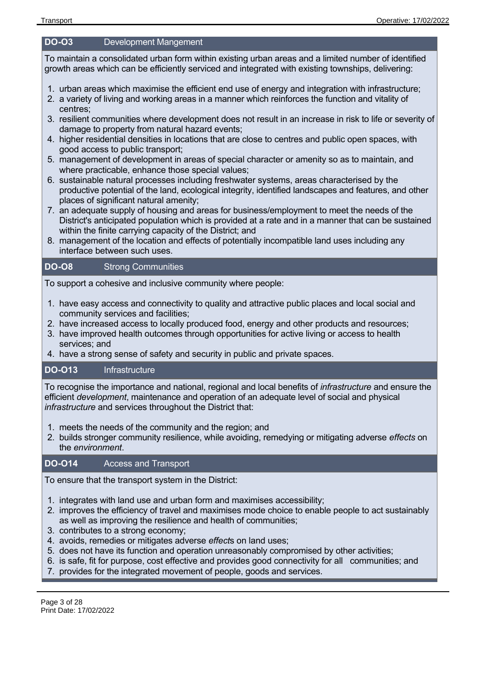### **DO-O3** Development Mangement

To maintain a consolidated urban form within existing urban areas and a limited number of identified growth areas which can be efficiently serviced and integrated with existing townships, delivering:

- 1. urban areas which maximise the efficient end use of energy and integration with infrastructure;
- 2. a variety of living and working areas in a manner which reinforces the function and vitality of centres;
- 3. resilient communities where development does not result in an increase in risk to life or severity of damage to property from natural hazard events;
- 4. higher residential densities in locations that are close to centres and public open spaces, with good access to public transport;
- 5. management of development in areas of special character or amenity so as to maintain, and where practicable, enhance those special values;
- 6. sustainable natural processes including freshwater systems, areas characterised by the productive potential of the land, ecological integrity, identified landscapes and features, and other places of significant natural amenity;
- 7. an adequate supply of housing and areas for business/employment to meet the needs of the District's anticipated population which is provided at a rate and in a manner that can be sustained within the finite carrying capacity of the District; and
- 8. management of the location and effects of potentially incompatible land uses including any interface between such uses.

### **DO-O8** Strong Communities

To support a cohesive and inclusive community where people:

- 1. have easy access and connectivity to quality and attractive public places and local social and community services and facilities;
- 2. have increased access to locally produced food, energy and other products and resources;
- 3. have improved health outcomes through opportunities for active living or access to health services; and
- 4. have a strong sense of safety and security in public and private spaces.

### **DO-O13** Infrastructure

To recognise the importance and national, regional and local benefits of *infrastructure* and ensure the efficient *development*, maintenance and operation of an adequate level of social and physical *infrastructure* and services throughout the District that:

- 1. meets the needs of the community and the region; and
- 2. builds stronger community resilience, while avoiding, remedying or mitigating adverse *effects* on the *environment*.

### **DO-O14** Access and Transport

To ensure that the transport system in the District:

- 1. integrates with land use and urban form and maximises accessibility;
- 2. improves the efficiency of travel and maximises mode choice to enable people to act sustainably as well as improving the resilience and health of communities;
- 3. contributes to a strong economy;
- 4. avoids, remedies or mitigates adverse *effect*s on land uses;
- 5. does not have its function and operation unreasonably compromised by other activities;
- 6. is safe, fit for purpose, cost effective and provides good connectivity for all communities; and
- 7. provides for the integrated movement of people, goods and services.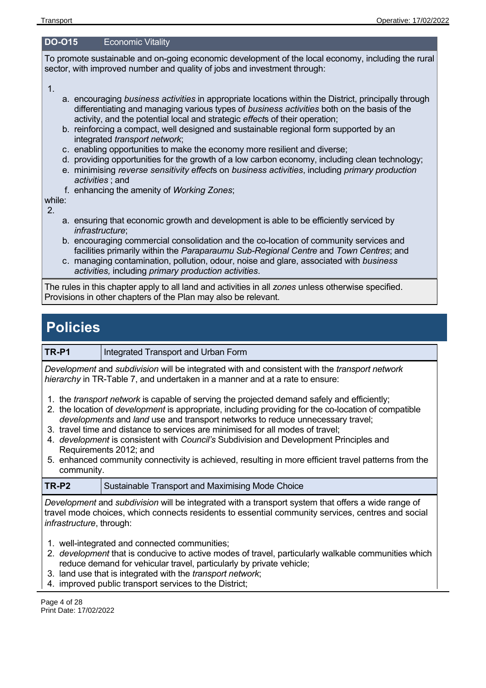### **DO-O15** Economic Vitality

To promote sustainable and on-going economic development of the local economy, including the rural sector, with improved number and quality of jobs and investment through:

1.

- a. encouraging *business activities* in appropriate locations within the District, principally through differentiating and managing various types of *business activities* both on the basis of the activity, and the potential local and strategic *effect*s of their operation;
- b. reinforcing a compact, well designed and sustainable regional form supported by an integrated *transport network*;
- c. enabling opportunities to make the economy more resilient and diverse;
- d. providing opportunities for the growth of a low carbon economy, including clean technology;
- e. minimising *reverse sensitivity effect*s on *business activities*, including *primary production activities* ; and
- f. enhancing the amenity of *Working Zones*;

while: 2.

- a. ensuring that economic growth and development is able to be efficiently serviced by *infrastructure*;
- b. encouraging commercial consolidation and the co-location of community services and facilities primarily within the *Paraparaumu Sub-Regional Centre* and *Town Centres*; and
- c. managing contamination, pollution, odour, noise and glare, associated with *business activities,* including *primary production activities*.

The rules in this chapter apply to all land and activities in all *zones* unless otherwise specified. Provisions in other chapters of the Plan may also be relevant.

### **Policies**

**TR-P1** | Integrated Transport and Urban Form

*Development* and *subdivision* will be integrated with and consistent with the *transport network hierarchy* in TR-Table 7, and undertaken in a manner and at a rate to ensure:

- 1. the *transport network* is capable of serving the projected demand safely and efficiently;
- 2. the location of *development* is appropriate, including providing for the co-location of compatible *developments* and *land* use and transport networks to reduce unnecessary travel;
- 3. travel time and distance to services are minimised for all modes of travel;
- 4. *development* is consistent with *Council's* Subdivision and Development Principles and Requirements 2012; and
- 5. enhanced community connectivity is achieved, resulting in more efficient travel patterns from the community.

| TR-P2 | Sustainable Transport and Maximising Mode Choice |
|-------|--------------------------------------------------|
|-------|--------------------------------------------------|

*Development* and *subdivision* will be integrated with a transport system that offers a wide range of travel mode choices, which connects residents to essential community services, centres and social *infrastructure*, through:

- 1. well-integrated and connected communities;
- 2. *development* that is conducive to active modes of travel, particularly walkable communities which reduce demand for vehicular travel, particularly by private vehicle;
- 3. land use that is integrated with the *transport network*;
- 4. improved public transport services to the District;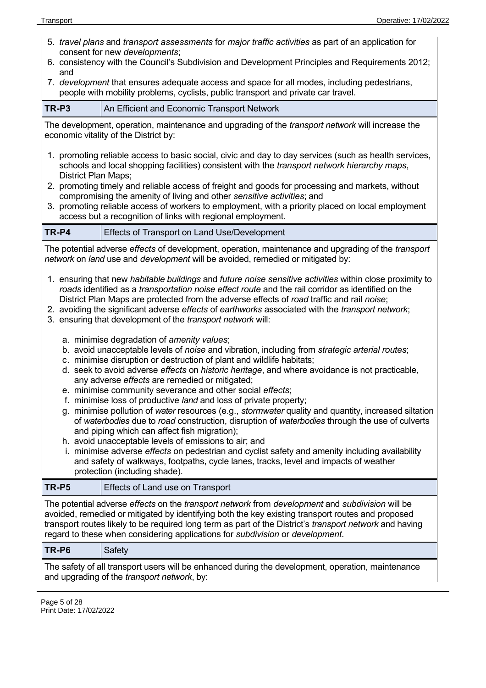- 5. *travel plans* and *transport assessments* for *major traffic activities* as part of an application for consent for new *developments*; 6. consistency with the Council's Subdivision and Development Principles and Requirements 2012; and 7. *development* that ensures adequate access and space for all modes, including pedestrians, people with mobility problems, cyclists, public transport and private car travel. **TR-P3** An Efficient and Economic Transport Network The development, operation, maintenance and upgrading of the *transport network* will increase the economic vitality of the District by: 1. promoting reliable access to basic social, civic and day to day services (such as health services, schools and local shopping facilities) consistent with the *transport network hierarchy maps*, District Plan Maps; 2. promoting timely and reliable access of freight and goods for processing and markets, without compromising the amenity of living and other *sensitive activities*; and 3. promoting reliable access of workers to employment, with a priority placed on local employment access but a recognition of links with regional employment. **TR-P4** Effects of Transport on Land Use/Development The potential adverse *effects* of development, operation, maintenance and upgrading of the *transport network* on *land* use and *development* will be avoided, remedied or mitigated by: 1. ensuring that new *habitable buildings* and *future noise sensitive activities* within close proximity to *roads* identified as a *transportation noise effect route* and the rail corridor as identified on the District Plan Maps are protected from the adverse effects of *road* traffic and rail *noise*; 2. avoiding the significant adverse *effects* of *earthworks* associated with the *transport network*; 3. ensuring that development of the *transport network* will: a. minimise degradation of *amenity values*; b. avoid unacceptable levels of *noise* and vibration, including from *strategic arterial routes*; c. minimise disruption or destruction of plant and wildlife habitats; d. seek to avoid adverse *effects* on *historic heritage*, and where avoidance is not practicable, any adverse *effects* are remedied or mitigated; e. minimise community severance and other social *effects*; f. minimise loss of productive *land* and loss of private property; g. minimise pollution of *water* resources (e.g., *stormwater* quality and quantity, increased siltation of *waterbodies* due to *road* construction, disruption of *waterbodies* through the use of culverts and piping which can affect fish migration); h. avoid unacceptable levels of emissions to air; and i. minimise adverse *effects* on pedestrian and cyclist safety and amenity including availability and safety of walkways, footpaths, cycle lanes, tracks, level and impacts of weather protection (including shade). **TR-P5** Effects of Land use on Transport The potential adverse *effects* on the *transport network* from *development* and *subdivision* will be avoided, remedied or mitigated by identifying both the key existing transport routes and proposed transport routes likely to be required long term as part of the District's *transport network* and having regard to these when considering applications for *subdivision* or *development*.
- **TR-P6** Safety

The safety of all transport users will be enhanced during the development, operation, maintenance and upgrading of the *transport network*, by: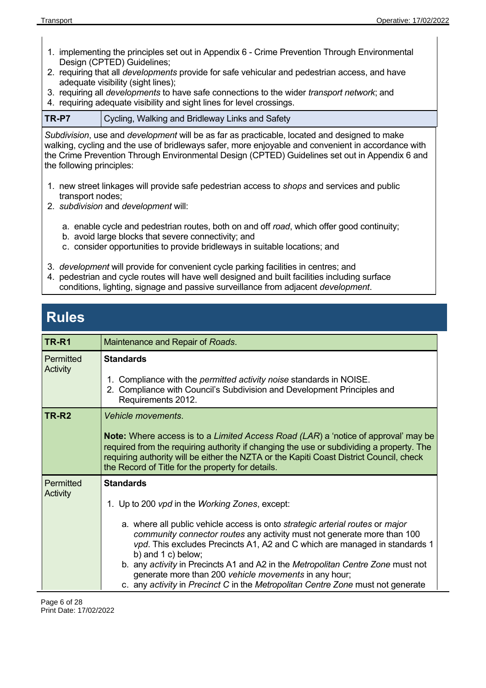- 1. implementing the principles set out in Appendix 6 Crime Prevention Through Environmental Design (CPTED) Guidelines;
- 2. requiring that all *developments* provide for safe vehicular and pedestrian access, and have adequate visibility (sight lines);
- 3. requiring all *developments* to have safe connections to the wider *transport network*; and
- 4. requiring adequate visibility and sight lines for level crossings.

### **TR-P7** Cycling, Walking and Bridleway Links and Safety

*Subdivision*, use and *development* will be as far as practicable, located and designed to make walking, cycling and the use of bridleways safer, more enjoyable and convenient in accordance with the Crime Prevention Through Environmental Design (CPTED) Guidelines set out in Appendix 6 and the following principles:

- 1. new street linkages will provide safe pedestrian access to *shops* and services and public transport nodes;
- 2. *subdivision* and *development* will:
	- a. enable cycle and pedestrian routes, both on and off *road*, which offer good continuity;
	- b. avoid large blocks that severe connectivity; and
	- c. consider opportunities to provide bridleways in suitable locations; and
- 3. *development* will provide for convenient cycle parking facilities in centres; and
- 4. pedestrian and cycle routes will have well designed and built facilities including surface conditions, lighting, signage and passive surveillance from adjacent *development*.

### **Rules**

| <b>TR-R1</b>          | Maintenance and Repair of Roads.                                                                                                                                                                                                                                                                                                                                                                                                                                                                                                                                                    |
|-----------------------|-------------------------------------------------------------------------------------------------------------------------------------------------------------------------------------------------------------------------------------------------------------------------------------------------------------------------------------------------------------------------------------------------------------------------------------------------------------------------------------------------------------------------------------------------------------------------------------|
| Permitted<br>Activity | <b>Standards</b><br>1. Compliance with the <i>permitted activity noise</i> standards in NOISE.<br>2. Compliance with Council's Subdivision and Development Principles and<br>Requirements 2012.                                                                                                                                                                                                                                                                                                                                                                                     |
| TR-R <sub>2</sub>     | <b>Vehicle movements.</b><br><b>Note:</b> Where access is to a Limited Access Road (LAR) a 'notice of approval' may be<br>required from the requiring authority if changing the use or subdividing a property. The<br>requiring authority will be either the NZTA or the Kapiti Coast District Council, check<br>the Record of Title for the property for details.                                                                                                                                                                                                                  |
| Permitted<br>Activity | <b>Standards</b><br>1. Up to 200 <i>vpd</i> in the <i>Working Zones</i> , except:<br>a. where all public vehicle access is onto strategic arterial routes or major<br>community connector routes any activity must not generate more than 100<br>vpd. This excludes Precincts A1, A2 and C which are managed in standards 1<br>b) and $1 c$ ) below;<br>b. any activity in Precincts A1 and A2 in the Metropolitan Centre Zone must not<br>generate more than 200 vehicle movements in any hour;<br>c. any activity in Precinct C in the Metropolitan Centre Zone must not generate |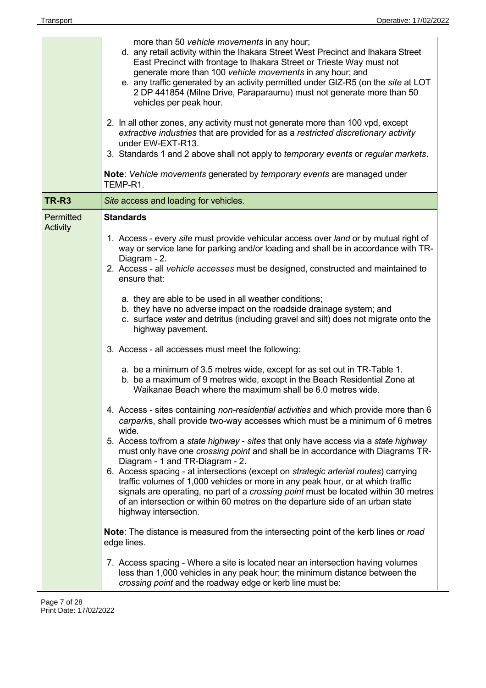| TR-R <sub>3</sub><br>Site access and loading for vehicles.<br><b>Standards</b><br>Permitted<br><b>Activity</b><br>Diagram - 2.<br>ensure that:<br>a. they are able to be used in all weather conditions;<br>highway pavement.<br>3. Access - all accesses must meet the following:<br>Waikanae Beach where the maximum shall be 6.0 metres wide.<br>wide.<br>Diagram - 1 and TR-Diagram - 2. | generate more than 100 vehicle movements in any hour; and<br>e. any traffic generated by an activity permitted under GIZ-R5 (on the site at LOT<br>2 DP 441854 (Milne Drive, Paraparaumu) must not generate more than 50<br>vehicles per peak hour.<br>2. In all other zones, any activity must not generate more than 100 vpd, except<br>extractive industries that are provided for as a restricted discretionary activity<br>under EW-EXT-R13.<br>3. Standards 1 and 2 above shall not apply to temporary events or regular markets.<br><b>Note:</b> Vehicle movements generated by temporary events are managed under<br>TEMP-R1.                                                                                                                                                                                                                                                                                                                                                                                                                                                                                                                                                                                                                                                                                                                                                                                                                                                                                                                               |  |
|----------------------------------------------------------------------------------------------------------------------------------------------------------------------------------------------------------------------------------------------------------------------------------------------------------------------------------------------------------------------------------------------|---------------------------------------------------------------------------------------------------------------------------------------------------------------------------------------------------------------------------------------------------------------------------------------------------------------------------------------------------------------------------------------------------------------------------------------------------------------------------------------------------------------------------------------------------------------------------------------------------------------------------------------------------------------------------------------------------------------------------------------------------------------------------------------------------------------------------------------------------------------------------------------------------------------------------------------------------------------------------------------------------------------------------------------------------------------------------------------------------------------------------------------------------------------------------------------------------------------------------------------------------------------------------------------------------------------------------------------------------------------------------------------------------------------------------------------------------------------------------------------------------------------------------------------------------------------------|--|
|                                                                                                                                                                                                                                                                                                                                                                                              |                                                                                                                                                                                                                                                                                                                                                                                                                                                                                                                                                                                                                                                                                                                                                                                                                                                                                                                                                                                                                                                                                                                                                                                                                                                                                                                                                                                                                                                                                                                                                                     |  |
| highway intersection.<br>edge lines.<br>crossing point and the roadway edge or kerb line must be:                                                                                                                                                                                                                                                                                            | 1. Access - every site must provide vehicular access over land or by mutual right of<br>way or service lane for parking and/or loading and shall be in accordance with TR-<br>2. Access - all vehicle accesses must be designed, constructed and maintained to<br>b. they have no adverse impact on the roadside drainage system; and<br>c. surface water and detritus (including gravel and silt) does not migrate onto the<br>a. be a minimum of 3.5 metres wide, except for as set out in TR-Table 1.<br>b. be a maximum of 9 metres wide, except in the Beach Residential Zone at<br>4. Access - sites containing non-residential activities and which provide more than 6<br>carparks, shall provide two-way accesses which must be a minimum of 6 metres<br>5. Access to/from a state highway - sites that only have access via a state highway<br>must only have one crossing point and shall be in accordance with Diagrams TR-<br>6. Access spacing - at intersections (except on <i>strategic arterial routes</i> ) carrying<br>traffic volumes of 1,000 vehicles or more in any peak hour, or at which traffic<br>signals are operating, no part of a <i>crossing point</i> must be located within 30 metres<br>of an intersection or within 60 metres on the departure side of an urban state<br>Note: The distance is measured from the intersecting point of the kerb lines or road<br>7. Access spacing - Where a site is located near an intersection having volumes<br>less than 1,000 vehicles in any peak hour; the minimum distance between the |  |

 $\overline{a}$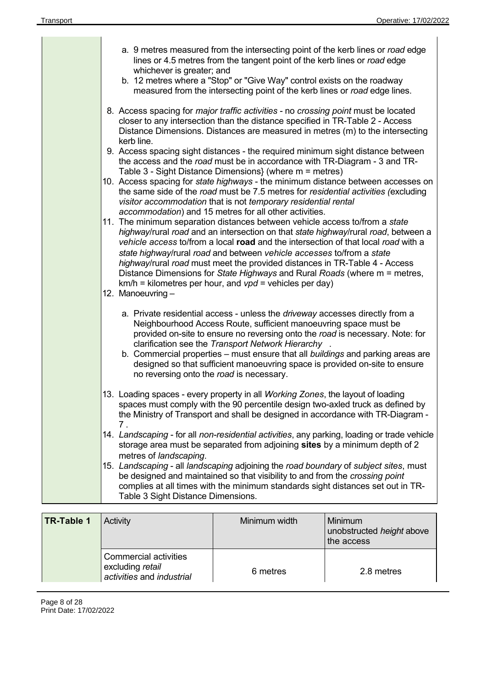| a. 9 metres measured from the intersecting point of the kerb lines or road edge<br>lines or 4.5 metres from the tangent point of the kerb lines or road edge<br>whichever is greater; and<br>b. 12 metres where a "Stop" or "Give Way" control exists on the roadway<br>measured from the intersecting point of the kerb lines or road edge lines.                                                                                                                                                                                                                              |
|---------------------------------------------------------------------------------------------------------------------------------------------------------------------------------------------------------------------------------------------------------------------------------------------------------------------------------------------------------------------------------------------------------------------------------------------------------------------------------------------------------------------------------------------------------------------------------|
| 8. Access spacing for <i>major traffic activities</i> - no <i>crossing point</i> must be located<br>closer to any intersection than the distance specified in TR-Table 2 - Access<br>Distance Dimensions. Distances are measured in metres (m) to the intersecting<br>kerb line.                                                                                                                                                                                                                                                                                                |
| 9. Access spacing sight distances - the required minimum sight distance between<br>the access and the road must be in accordance with TR-Diagram - 3 and TR-<br>Table 3 - Sight Distance Dimensions} (where m = metres)                                                                                                                                                                                                                                                                                                                                                         |
| 10. Access spacing for state highways - the minimum distance between accesses on<br>the same side of the road must be 7.5 metres for residential activities (excluding<br>visitor accommodation that is not temporary residential rental<br>accommodation) and 15 metres for all other activities.                                                                                                                                                                                                                                                                              |
| 11. The minimum separation distances between vehicle access to/from a state<br>highway/rural road and an intersection on that state highway/rural road, between a<br>vehicle access to/from a local road and the intersection of that local road with a<br>state highway/rural road and between vehicle accesses to/from a state<br>highway/rural road must meet the provided distances in TR-Table 4 - Access<br>Distance Dimensions for State Highways and Rural Roads (where m = metres,<br>$km/h =$ kilometres per hour, and $vpd =$ vehicles per day)<br>12. Manoeuvring - |
| a. Private residential access - unless the driveway accesses directly from a<br>Neighbourhood Access Route, sufficient manoeuvring space must be<br>provided on-site to ensure no reversing onto the road is necessary. Note: for<br>clarification see the Transport Network Hierarchy<br>b. Commercial properties – must ensure that all buildings and parking areas are<br>designed so that sufficient manoeuvring space is provided on-site to ensure<br>no reversing onto the road is necessary.                                                                            |
| 13. Loading spaces - every property in all Working Zones, the layout of loading<br>spaces must comply with the 90 percentile design two-axled truck as defined by<br>the Ministry of Transport and shall be designed in accordance with TR-Diagram -<br>7.                                                                                                                                                                                                                                                                                                                      |
| 14. Landscaping - for all non-residential activities, any parking, loading or trade vehicle<br>storage area must be separated from adjoining sites by a minimum depth of 2                                                                                                                                                                                                                                                                                                                                                                                                      |
| metres of landscaping.<br>15. Landscaping - all landscaping adjoining the road boundary of subject sites, must<br>be designed and maintained so that visibility to and from the crossing point<br>complies at all times with the minimum standards sight distances set out in TR-<br>Table 3 Sight Distance Dimensions.                                                                                                                                                                                                                                                         |
|                                                                                                                                                                                                                                                                                                                                                                                                                                                                                                                                                                                 |

| TR-Table 1 | Activity                                                                      | Minimum width | Minimum<br>unobstructed height above<br>the access |
|------------|-------------------------------------------------------------------------------|---------------|----------------------------------------------------|
|            | <b>Commercial activities</b><br>excluding retail<br>activities and industrial | 6 metres      | 2.8 metres                                         |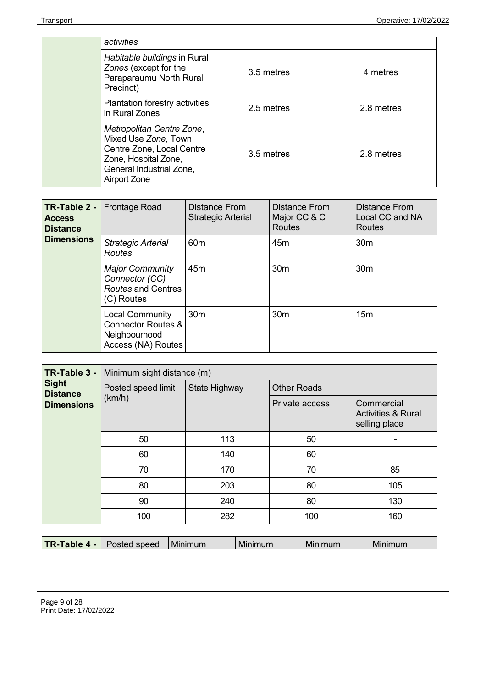| activities                                                                                                                                         |            |            |
|----------------------------------------------------------------------------------------------------------------------------------------------------|------------|------------|
| Habitable buildings in Rural<br>Zones (except for the<br>Paraparaumu North Rural<br>Precinct)                                                      | 3.5 metres | 4 metres   |
| Plantation forestry activities<br>in Rural Zones                                                                                                   | 2.5 metres | 2.8 metres |
| Metropolitan Centre Zone,<br>Mixed Use Zone, Town<br>Centre Zone, Local Centre<br>Zone, Hospital Zone,<br>General Industrial Zone,<br>Airport Zone | 3.5 metres | 2.8 metres |

| TR-Table 2 -<br><b>Access</b><br><b>Distance</b><br><b>Dimensions</b> | <b>Frontage Road</b>                                                                           | Distance From<br><b>Strategic Arterial</b> | Distance From<br>Major CC & C<br><b>Routes</b> | Distance From<br>Local CC and NA<br>Routes |
|-----------------------------------------------------------------------|------------------------------------------------------------------------------------------------|--------------------------------------------|------------------------------------------------|--------------------------------------------|
|                                                                       | <b>Strategic Arterial</b><br><b>Routes</b>                                                     | 60 <sub>m</sub>                            | 45 <sub>m</sub>                                | 30 <sub>m</sub>                            |
|                                                                       | <b>Major Community</b><br>Connector (CC)<br>Routes and Centres<br>(C) Routes                   | 45 <sub>m</sub>                            | 30 <sub>m</sub>                                | 30 <sub>m</sub>                            |
|                                                                       | <b>Local Community</b><br><b>Connector Routes &amp;</b><br>Neighbourhood<br>Access (NA) Routes | 30 <sub>m</sub>                            | 30 <sub>m</sub>                                | 15 <sub>m</sub>                            |

| TR-Table 3 -<br><b>Sight</b><br>Posted speed limit<br><b>Distance</b><br>(km/h)<br><b>Dimensions</b><br>50<br>60<br>70<br>80<br>90<br>100 | Minimum sight distance (m) |               |                    |                                                              |
|-------------------------------------------------------------------------------------------------------------------------------------------|----------------------------|---------------|--------------------|--------------------------------------------------------------|
|                                                                                                                                           |                            | State Highway | <b>Other Roads</b> |                                                              |
|                                                                                                                                           |                            |               | Private access     | Commercial<br><b>Activities &amp; Rural</b><br>selling place |
|                                                                                                                                           |                            | 113           | 50                 |                                                              |
|                                                                                                                                           |                            | 140           | 60                 |                                                              |
|                                                                                                                                           |                            | 170           | 70                 | 85                                                           |
|                                                                                                                                           | 203                        | 80            | 105                |                                                              |
|                                                                                                                                           |                            | 240           | 80                 | 130                                                          |
|                                                                                                                                           |                            | 282           | 100                | 160                                                          |

| TR-Table 4 -<br><b>Minimum</b><br>Posted speed<br>Minimum<br>Minimum |  |
|----------------------------------------------------------------------|--|
|----------------------------------------------------------------------|--|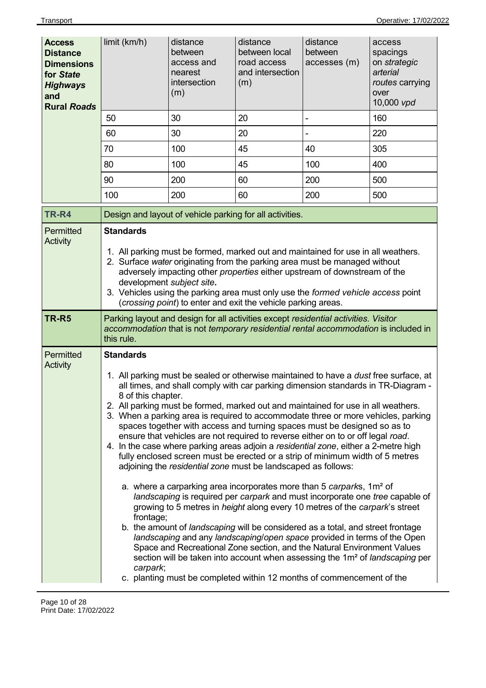| <b>Access</b><br><b>Distance</b><br><b>Dimensions</b><br>for State<br><b>Highways</b><br>and<br><b>Rural Roads</b> | limit (km/h)                                                                                                                                                                                                                                                                                                                                                                                                                                       | distance<br>between<br>access and<br>nearest<br>intersection<br>(m) | distance<br>between local<br>road access<br>and intersection<br>(m)                                                                                                                                                                                                                                                                                                                                                                                                                                                                                                                                                                                                                                                                                                                                                                                                                                                                                                                                                                                                                                                                                                                                                                                                                                                                                                                                                                                 | distance<br>between<br>accesses (m) | access<br>spacings<br>on strategic<br>arterial<br>routes carrying<br>over<br>10,000 vpd |
|--------------------------------------------------------------------------------------------------------------------|----------------------------------------------------------------------------------------------------------------------------------------------------------------------------------------------------------------------------------------------------------------------------------------------------------------------------------------------------------------------------------------------------------------------------------------------------|---------------------------------------------------------------------|-----------------------------------------------------------------------------------------------------------------------------------------------------------------------------------------------------------------------------------------------------------------------------------------------------------------------------------------------------------------------------------------------------------------------------------------------------------------------------------------------------------------------------------------------------------------------------------------------------------------------------------------------------------------------------------------------------------------------------------------------------------------------------------------------------------------------------------------------------------------------------------------------------------------------------------------------------------------------------------------------------------------------------------------------------------------------------------------------------------------------------------------------------------------------------------------------------------------------------------------------------------------------------------------------------------------------------------------------------------------------------------------------------------------------------------------------------|-------------------------------------|-----------------------------------------------------------------------------------------|
|                                                                                                                    | 50                                                                                                                                                                                                                                                                                                                                                                                                                                                 | 30                                                                  | 20                                                                                                                                                                                                                                                                                                                                                                                                                                                                                                                                                                                                                                                                                                                                                                                                                                                                                                                                                                                                                                                                                                                                                                                                                                                                                                                                                                                                                                                  |                                     | 160                                                                                     |
|                                                                                                                    | 60                                                                                                                                                                                                                                                                                                                                                                                                                                                 | 30                                                                  | 20                                                                                                                                                                                                                                                                                                                                                                                                                                                                                                                                                                                                                                                                                                                                                                                                                                                                                                                                                                                                                                                                                                                                                                                                                                                                                                                                                                                                                                                  |                                     | 220                                                                                     |
|                                                                                                                    | 70                                                                                                                                                                                                                                                                                                                                                                                                                                                 | 100                                                                 | 45                                                                                                                                                                                                                                                                                                                                                                                                                                                                                                                                                                                                                                                                                                                                                                                                                                                                                                                                                                                                                                                                                                                                                                                                                                                                                                                                                                                                                                                  | 40                                  | 305                                                                                     |
|                                                                                                                    | 80                                                                                                                                                                                                                                                                                                                                                                                                                                                 | 100                                                                 | 45                                                                                                                                                                                                                                                                                                                                                                                                                                                                                                                                                                                                                                                                                                                                                                                                                                                                                                                                                                                                                                                                                                                                                                                                                                                                                                                                                                                                                                                  | 100                                 | 400                                                                                     |
|                                                                                                                    | 90                                                                                                                                                                                                                                                                                                                                                                                                                                                 | 200                                                                 | 60                                                                                                                                                                                                                                                                                                                                                                                                                                                                                                                                                                                                                                                                                                                                                                                                                                                                                                                                                                                                                                                                                                                                                                                                                                                                                                                                                                                                                                                  | 200                                 | 500                                                                                     |
|                                                                                                                    | 100                                                                                                                                                                                                                                                                                                                                                                                                                                                | 200                                                                 | 60                                                                                                                                                                                                                                                                                                                                                                                                                                                                                                                                                                                                                                                                                                                                                                                                                                                                                                                                                                                                                                                                                                                                                                                                                                                                                                                                                                                                                                                  | 200                                 | 500                                                                                     |
| TR-R4                                                                                                              |                                                                                                                                                                                                                                                                                                                                                                                                                                                    |                                                                     | Design and layout of vehicle parking for all activities.                                                                                                                                                                                                                                                                                                                                                                                                                                                                                                                                                                                                                                                                                                                                                                                                                                                                                                                                                                                                                                                                                                                                                                                                                                                                                                                                                                                            |                                     |                                                                                         |
| Permitted<br><b>Activity</b>                                                                                       | <b>Standards</b><br>1. All parking must be formed, marked out and maintained for use in all weathers.<br>2. Surface water originating from the parking area must be managed without<br>adversely impacting other properties either upstream of downstream of the<br>development subject site.<br>3. Vehicles using the parking area must only use the formed vehicle access point<br>(crossing point) to enter and exit the vehicle parking areas. |                                                                     |                                                                                                                                                                                                                                                                                                                                                                                                                                                                                                                                                                                                                                                                                                                                                                                                                                                                                                                                                                                                                                                                                                                                                                                                                                                                                                                                                                                                                                                     |                                     |                                                                                         |
| <b>TR-R5</b>                                                                                                       | Parking layout and design for all activities except residential activities. Visitor<br>accommodation that is not temporary residential rental accommodation is included in<br>this rule.                                                                                                                                                                                                                                                           |                                                                     |                                                                                                                                                                                                                                                                                                                                                                                                                                                                                                                                                                                                                                                                                                                                                                                                                                                                                                                                                                                                                                                                                                                                                                                                                                                                                                                                                                                                                                                     |                                     |                                                                                         |
| Permitted<br><b>Activity</b>                                                                                       | <b>Standards</b><br>8 of this chapter.<br>frontage;<br>carpark;                                                                                                                                                                                                                                                                                                                                                                                    |                                                                     | 1. All parking must be sealed or otherwise maintained to have a <i>dust</i> free surface, at<br>all times, and shall comply with car parking dimension standards in TR-Diagram -<br>2. All parking must be formed, marked out and maintained for use in all weathers.<br>3. When a parking area is required to accommodate three or more vehicles, parking<br>spaces together with access and turning spaces must be designed so as to<br>ensure that vehicles are not required to reverse either on to or off legal road.<br>4. In the case where parking areas adjoin a residential zone, either a 2-metre high<br>fully enclosed screen must be erected or a strip of minimum width of 5 metres<br>adjoining the residential zone must be landscaped as follows:<br>a. where a carparking area incorporates more than 5 carparks, 1m <sup>2</sup> of<br>landscaping is required per carpark and must incorporate one tree capable of<br>growing to 5 metres in <i>height</i> along every 10 metres of the carpark's street<br>b. the amount of landscaping will be considered as a total, and street frontage<br>landscaping and any landscaping/open space provided in terms of the Open<br>Space and Recreational Zone section, and the Natural Environment Values<br>section will be taken into account when assessing the 1m <sup>2</sup> of <i>landscaping</i> per<br>c. planting must be completed within 12 months of commencement of the |                                     |                                                                                         |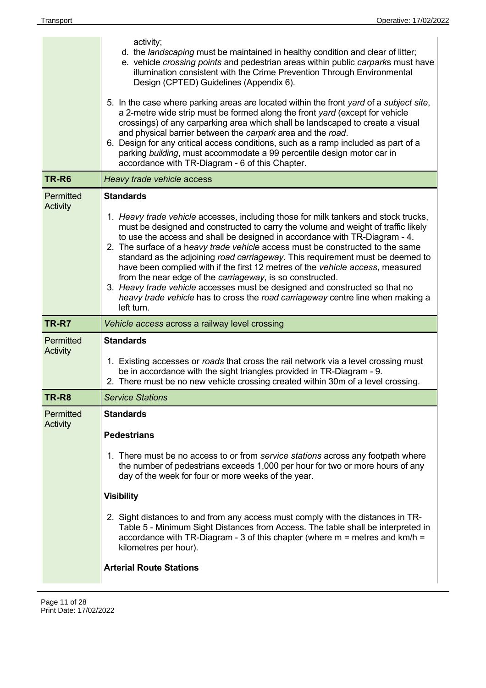|                              | activity;<br>d. the <i>landscaping</i> must be maintained in healthy condition and clear of litter;<br>e. vehicle crossing points and pedestrian areas within public carparks must have<br>illumination consistent with the Crime Prevention Through Environmental<br>Design (CPTED) Guidelines (Appendix 6).                                                                                                                                                                                                                                                                                                                                                                                                                                             |
|------------------------------|-----------------------------------------------------------------------------------------------------------------------------------------------------------------------------------------------------------------------------------------------------------------------------------------------------------------------------------------------------------------------------------------------------------------------------------------------------------------------------------------------------------------------------------------------------------------------------------------------------------------------------------------------------------------------------------------------------------------------------------------------------------|
|                              | 5. In the case where parking areas are located within the front yard of a subject site,<br>a 2-metre wide strip must be formed along the front yard (except for vehicle<br>crossings) of any carparking area which shall be landscaped to create a visual<br>and physical barrier between the carpark area and the road.<br>6. Design for any critical access conditions, such as a ramp included as part of a<br>parking building, must accommodate a 99 percentile design motor car in<br>accordance with TR-Diagram - 6 of this Chapter.                                                                                                                                                                                                               |
| TR-R6                        | Heavy trade vehicle access                                                                                                                                                                                                                                                                                                                                                                                                                                                                                                                                                                                                                                                                                                                                |
| Permitted<br><b>Activity</b> | <b>Standards</b>                                                                                                                                                                                                                                                                                                                                                                                                                                                                                                                                                                                                                                                                                                                                          |
|                              | 1. Heavy trade vehicle accesses, including those for milk tankers and stock trucks,<br>must be designed and constructed to carry the volume and weight of traffic likely<br>to use the access and shall be designed in accordance with TR-Diagram - 4.<br>2. The surface of a heavy trade vehicle access must be constructed to the same<br>standard as the adjoining road carriageway. This requirement must be deemed to<br>have been complied with if the first 12 metres of the vehicle access, measured<br>from the near edge of the carriageway, is so constructed.<br>3. Heavy trade vehicle accesses must be designed and constructed so that no<br>heavy trade vehicle has to cross the road carriageway centre line when making a<br>left turn. |
|                              |                                                                                                                                                                                                                                                                                                                                                                                                                                                                                                                                                                                                                                                                                                                                                           |
| TR-R7                        | Vehicle access across a railway level crossing                                                                                                                                                                                                                                                                                                                                                                                                                                                                                                                                                                                                                                                                                                            |
| Permitted                    | <b>Standards</b>                                                                                                                                                                                                                                                                                                                                                                                                                                                                                                                                                                                                                                                                                                                                          |
| Activity                     | 1. Existing accesses or roads that cross the rail network via a level crossing must<br>be in accordance with the sight triangles provided in TR-Diagram - 9.<br>2. There must be no new vehicle crossing created within 30m of a level crossing.                                                                                                                                                                                                                                                                                                                                                                                                                                                                                                          |
| TR-R8                        | <b>Service Stations</b>                                                                                                                                                                                                                                                                                                                                                                                                                                                                                                                                                                                                                                                                                                                                   |
| Permitted                    | <b>Standards</b>                                                                                                                                                                                                                                                                                                                                                                                                                                                                                                                                                                                                                                                                                                                                          |
| Activity                     | <b>Pedestrians</b>                                                                                                                                                                                                                                                                                                                                                                                                                                                                                                                                                                                                                                                                                                                                        |
|                              | 1. There must be no access to or from service stations across any footpath where<br>the number of pedestrians exceeds 1,000 per hour for two or more hours of any<br>day of the week for four or more weeks of the year.                                                                                                                                                                                                                                                                                                                                                                                                                                                                                                                                  |
|                              | <b>Visibility</b>                                                                                                                                                                                                                                                                                                                                                                                                                                                                                                                                                                                                                                                                                                                                         |
|                              | 2. Sight distances to and from any access must comply with the distances in TR-<br>Table 5 - Minimum Sight Distances from Access. The table shall be interpreted in<br>accordance with TR-Diagram - 3 of this chapter (where $m =$ metres and km/h =<br>kilometres per hour).                                                                                                                                                                                                                                                                                                                                                                                                                                                                             |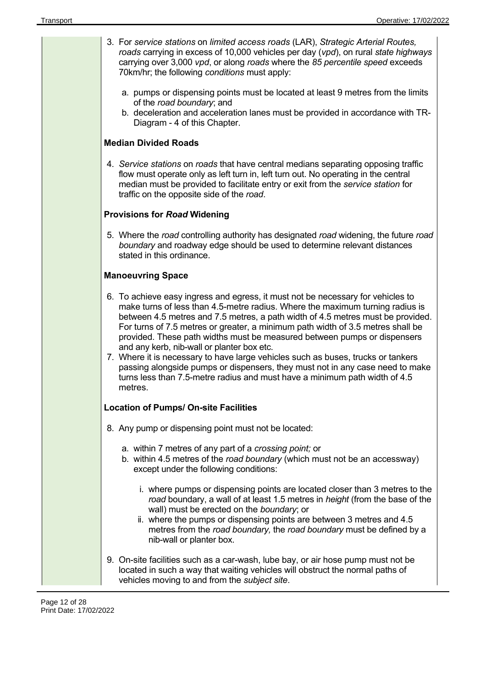| 3. For service stations on limited access roads (LAR), Strategic Arterial Routes,<br>roads carrying in excess of 10,000 vehicles per day (vpd), on rural state highways<br>carrying over 3,000 vpd, or along roads where the 85 percentile speed exceeds<br>70km/hr; the following conditions must apply:                                                                                                                                                                                                                                            |
|------------------------------------------------------------------------------------------------------------------------------------------------------------------------------------------------------------------------------------------------------------------------------------------------------------------------------------------------------------------------------------------------------------------------------------------------------------------------------------------------------------------------------------------------------|
| a. pumps or dispensing points must be located at least 9 metres from the limits<br>of the road boundary; and                                                                                                                                                                                                                                                                                                                                                                                                                                         |
| b. deceleration and acceleration lanes must be provided in accordance with TR-<br>Diagram - 4 of this Chapter.                                                                                                                                                                                                                                                                                                                                                                                                                                       |
| <b>Median Divided Roads</b>                                                                                                                                                                                                                                                                                                                                                                                                                                                                                                                          |
| 4. Service stations on roads that have central medians separating opposing traffic<br>flow must operate only as left turn in, left turn out. No operating in the central<br>median must be provided to facilitate entry or exit from the service station for<br>traffic on the opposite side of the road.                                                                                                                                                                                                                                            |
| <b>Provisions for Road Widening</b>                                                                                                                                                                                                                                                                                                                                                                                                                                                                                                                  |
| 5. Where the road controlling authority has designated road widening, the future road<br>boundary and roadway edge should be used to determine relevant distances<br>stated in this ordinance.                                                                                                                                                                                                                                                                                                                                                       |
| <b>Manoeuvring Space</b>                                                                                                                                                                                                                                                                                                                                                                                                                                                                                                                             |
| 6. To achieve easy ingress and egress, it must not be necessary for vehicles to<br>make turns of less than 4.5-metre radius. Where the maximum turning radius is<br>between 4.5 metres and 7.5 metres, a path width of 4.5 metres must be provided.<br>For turns of 7.5 metres or greater, a minimum path width of 3.5 metres shall be<br>provided. These path widths must be measured between pumps or dispensers<br>and any kerb, nib-wall or planter box etc.<br>7. Where it is necessary to have large vehicles such as buses, trucks or tankers |
| passing alongside pumps or dispensers, they must not in any case need to make<br>turns less than 7.5-metre radius and must have a minimum path width of 4.5<br>metres.                                                                                                                                                                                                                                                                                                                                                                               |
| <b>Location of Pumps/ On-site Facilities</b>                                                                                                                                                                                                                                                                                                                                                                                                                                                                                                         |
| 8. Any pump or dispensing point must not be located:                                                                                                                                                                                                                                                                                                                                                                                                                                                                                                 |
| a. within 7 metres of any part of a crossing point; or<br>b. within 4.5 metres of the road boundary (which must not be an accessway)<br>except under the following conditions:                                                                                                                                                                                                                                                                                                                                                                       |
| i. where pumps or dispensing points are located closer than 3 metres to the<br>road boundary, a wall of at least 1.5 metres in height (from the base of the<br>wall) must be erected on the boundary; or<br>ii. where the pumps or dispensing points are between 3 metres and 4.5<br>metres from the road boundary, the road boundary must be defined by a<br>nib-wall or planter box.                                                                                                                                                               |
| 9. On-site facilities such as a car-wash, lube bay, or air hose pump must not be<br>located in such a way that waiting vehicles will obstruct the normal paths of<br>vehicles moving to and from the subject site.                                                                                                                                                                                                                                                                                                                                   |

 $\overline{a}$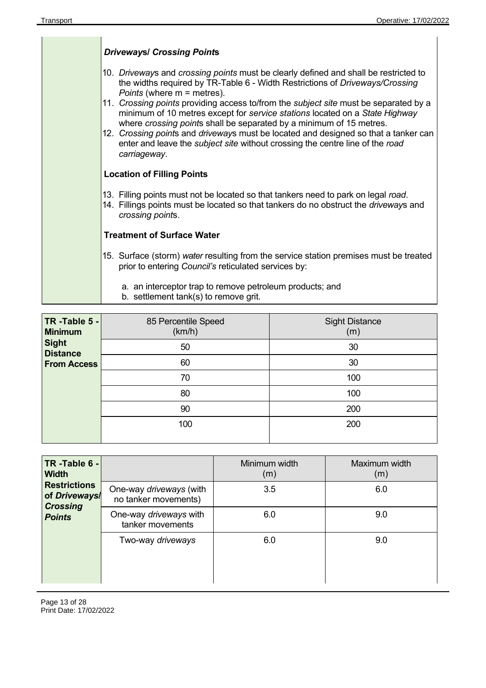| <b>Driveways/ Crossing Points</b>                                                                                                                                                                                                                                                                                                                                                                                                                                                                                                                                                                                                                        |
|----------------------------------------------------------------------------------------------------------------------------------------------------------------------------------------------------------------------------------------------------------------------------------------------------------------------------------------------------------------------------------------------------------------------------------------------------------------------------------------------------------------------------------------------------------------------------------------------------------------------------------------------------------|
| 10. Driveways and crossing points must be clearly defined and shall be restricted to<br>the widths required by TR-Table 6 - Width Restrictions of Driveways/Crossing<br><i>Points</i> (where $m =$ metres).<br>11. Crossing points providing access to/from the subject site must be separated by a<br>minimum of 10 metres except for service stations located on a State Highway<br>where crossing points shall be separated by a minimum of 15 metres.<br>12. Crossing points and driveways must be located and designed so that a tanker can<br>enter and leave the <i>subject site</i> without crossing the centre line of the road<br>carriageway. |
| <b>Location of Filling Points</b>                                                                                                                                                                                                                                                                                                                                                                                                                                                                                                                                                                                                                        |
| 13. Filling points must not be located so that tankers need to park on legal road.<br>14. Fillings points must be located so that tankers do no obstruct the driveways and<br>crossing points.                                                                                                                                                                                                                                                                                                                                                                                                                                                           |
| <b>Treatment of Surface Water</b>                                                                                                                                                                                                                                                                                                                                                                                                                                                                                                                                                                                                                        |
| 15. Surface (storm) water resulting from the service station premises must be treated<br>prior to entering Council's reticulated services by:                                                                                                                                                                                                                                                                                                                                                                                                                                                                                                            |
| a. an interceptor trap to remove petroleum products; and<br>b. settlement tank(s) to remove grit.                                                                                                                                                                                                                                                                                                                                                                                                                                                                                                                                                        |

| TR-Table 5 -<br><b>Minimum</b>  | 85 Percentile Speed<br>(km/h) | <b>Sight Distance</b><br>(m) |
|---------------------------------|-------------------------------|------------------------------|
| <b>Sight</b><br><b>Distance</b> | 50                            | 30                           |
| <b>From Access</b>              | 60                            | 30                           |
|                                 | 70                            | 100                          |
|                                 | 80                            | 100                          |
|                                 | 90                            | 200                          |
|                                 | 100                           | 200                          |
|                                 |                               |                              |

| TR-Table $6 -$<br><b>Width</b>                          |                                                 | Minimum width<br>(m) | Maximum width<br>(m) |
|---------------------------------------------------------|-------------------------------------------------|----------------------|----------------------|
| <b>Restrictions</b><br>of Driveways/<br><b>Crossing</b> | One-way driveways (with<br>no tanker movements) | 3.5                  | 6.0                  |
| <b>Points</b>                                           | One-way driveways with<br>tanker movements      | 6.0                  | 9.0                  |
|                                                         | Two-way driveways                               | 6.0                  | 9.0                  |
|                                                         |                                                 |                      |                      |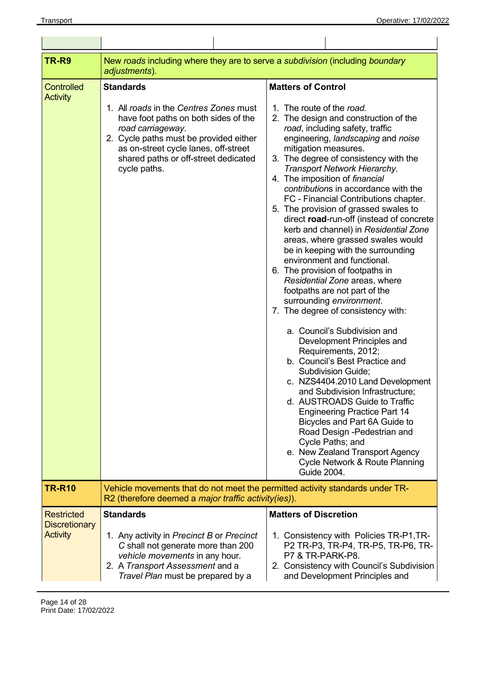| TR-R9                                                        | New roads including where they are to serve a subdivision (including boundary<br>adjustments).                                                                                                                                                                    |                                                                                                                                                                                                                                                                                                                                                                                                                                                                                                                                                                                                                                                                                                                                                                                                                                                                                                                                                                                                                                                                                                                                                                                                                                                                                         |  |
|--------------------------------------------------------------|-------------------------------------------------------------------------------------------------------------------------------------------------------------------------------------------------------------------------------------------------------------------|-----------------------------------------------------------------------------------------------------------------------------------------------------------------------------------------------------------------------------------------------------------------------------------------------------------------------------------------------------------------------------------------------------------------------------------------------------------------------------------------------------------------------------------------------------------------------------------------------------------------------------------------------------------------------------------------------------------------------------------------------------------------------------------------------------------------------------------------------------------------------------------------------------------------------------------------------------------------------------------------------------------------------------------------------------------------------------------------------------------------------------------------------------------------------------------------------------------------------------------------------------------------------------------------|--|
| <b>Controlled</b><br><b>Activity</b>                         | <b>Standards</b><br>1. All roads in the Centres Zones must<br>have foot paths on both sides of the<br>road carriageway.<br>2. Cycle paths must be provided either<br>as on-street cycle lanes, off-street<br>shared paths or off-street dedicated<br>cycle paths. | <b>Matters of Control</b><br>1. The route of the road.<br>2. The design and construction of the<br>road, including safety, traffic<br>engineering, landscaping and noise<br>mitigation measures.<br>3. The degree of consistency with the<br>Transport Network Hierarchy.<br>4. The imposition of financial<br>contributions in accordance with the<br>FC - Financial Contributions chapter.<br>5. The provision of grassed swales to<br>direct road-run-off (instead of concrete<br>kerb and channel) in Residential Zone<br>areas, where grassed swales would<br>be in keeping with the surrounding<br>environment and functional.<br>6. The provision of footpaths in<br>Residential Zone areas, where<br>footpaths are not part of the<br>surrounding environment.<br>7. The degree of consistency with:<br>a. Council's Subdivision and<br>Development Principles and<br>Requirements, 2012;<br>b. Council's Best Practice and<br><b>Subdivision Guide;</b><br>c. NZS4404.2010 Land Development<br>and Subdivision Infrastructure;<br>d. AUSTROADS Guide to Traffic<br><b>Engineering Practice Part 14</b><br>Bicycles and Part 6A Guide to<br>Road Design -Pedestrian and<br>Cycle Paths; and<br>e. New Zealand Transport Agency<br>Cycle Network & Route Planning<br>Guide 2004. |  |
| <b>TR-R10</b>                                                | Vehicle movements that do not meet the permitted activity standards under TR-<br>R2 (therefore deemed a <i>major traffic activity (ies)</i> ).                                                                                                                    |                                                                                                                                                                                                                                                                                                                                                                                                                                                                                                                                                                                                                                                                                                                                                                                                                                                                                                                                                                                                                                                                                                                                                                                                                                                                                         |  |
| <b>Restricted</b><br><b>Discretionary</b><br><b>Activity</b> | <b>Standards</b><br>1. Any activity in Precinct B or Precinct<br>C shall not generate more than 200<br>vehicle movements in any hour.<br>2. A Transport Assessment and a<br>Travel Plan must be prepared by a                                                     | <b>Matters of Discretion</b><br>1. Consistency with Policies TR-P1, TR-<br>P2 TR-P3, TR-P4, TR-P5, TR-P6, TR-<br>P7 & TR-PARK-P8.<br>2. Consistency with Council's Subdivision<br>and Development Principles and                                                                                                                                                                                                                                                                                                                                                                                                                                                                                                                                                                                                                                                                                                                                                                                                                                                                                                                                                                                                                                                                        |  |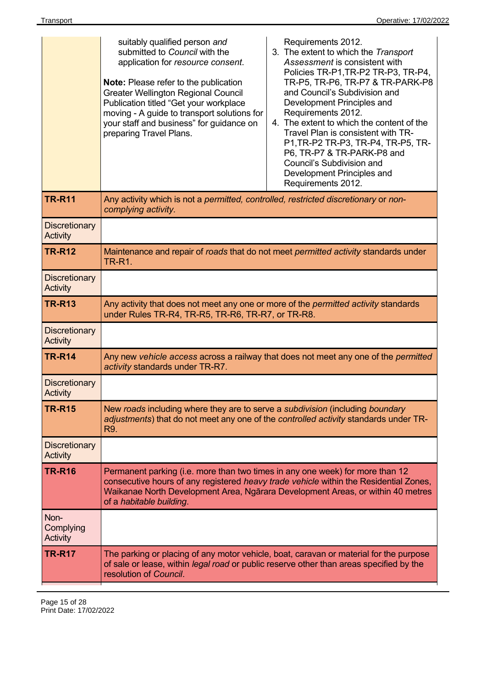|                                         | suitably qualified person and<br>submitted to Council with the<br>application for resource consent.<br><b>Note:</b> Please refer to the publication<br><b>Greater Wellington Regional Council</b><br>Publication titled "Get your workplace<br>moving - A guide to transport solutions for<br>your staff and business" for guidance on<br>preparing Travel Plans. | Requirements 2012.<br>3. The extent to which the Transport<br>Assessment is consistent with<br>Policies TR-P1, TR-P2 TR-P3, TR-P4,<br>TR-P5, TR-P6, TR-P7 & TR-PARK-P8<br>and Council's Subdivision and<br>Development Principles and<br>Requirements 2012.<br>4. The extent to which the content of the<br>Travel Plan is consistent with TR-<br>P1, TR-P2 TR-P3, TR-P4, TR-P5, TR-<br>P6, TR-P7 & TR-PARK-P8 and<br>Council's Subdivision and<br>Development Principles and<br>Requirements 2012. |  |
|-----------------------------------------|-------------------------------------------------------------------------------------------------------------------------------------------------------------------------------------------------------------------------------------------------------------------------------------------------------------------------------------------------------------------|-----------------------------------------------------------------------------------------------------------------------------------------------------------------------------------------------------------------------------------------------------------------------------------------------------------------------------------------------------------------------------------------------------------------------------------------------------------------------------------------------------|--|
| <b>TR-R11</b>                           | Any activity which is not a permitted, controlled, restricted discretionary or non-<br>complying activity.                                                                                                                                                                                                                                                        |                                                                                                                                                                                                                                                                                                                                                                                                                                                                                                     |  |
| <b>Discretionary</b><br>Activity        |                                                                                                                                                                                                                                                                                                                                                                   |                                                                                                                                                                                                                                                                                                                                                                                                                                                                                                     |  |
| <b>TR-R12</b>                           | Maintenance and repair of roads that do not meet permitted activity standards under<br><b>TR-R1.</b>                                                                                                                                                                                                                                                              |                                                                                                                                                                                                                                                                                                                                                                                                                                                                                                     |  |
| <b>Discretionary</b><br><b>Activity</b> |                                                                                                                                                                                                                                                                                                                                                                   |                                                                                                                                                                                                                                                                                                                                                                                                                                                                                                     |  |
| <b>TR-R13</b>                           | Any activity that does not meet any one or more of the <i>permitted activity</i> standards<br>under Rules TR-R4, TR-R5, TR-R6, TR-R7, or TR-R8.                                                                                                                                                                                                                   |                                                                                                                                                                                                                                                                                                                                                                                                                                                                                                     |  |
| <b>Discretionary</b><br><b>Activity</b> |                                                                                                                                                                                                                                                                                                                                                                   |                                                                                                                                                                                                                                                                                                                                                                                                                                                                                                     |  |
| <b>TR-R14</b>                           | Any new vehicle access across a railway that does not meet any one of the permitted<br>activity standards under TR-R7.                                                                                                                                                                                                                                            |                                                                                                                                                                                                                                                                                                                                                                                                                                                                                                     |  |
| <b>Discretionary</b><br><b>Activity</b> |                                                                                                                                                                                                                                                                                                                                                                   |                                                                                                                                                                                                                                                                                                                                                                                                                                                                                                     |  |
| <b>TR-R15</b>                           | New roads including where they are to serve a subdivision (including boundary<br>adjustments) that do not meet any one of the controlled activity standards under TR-<br>R9.                                                                                                                                                                                      |                                                                                                                                                                                                                                                                                                                                                                                                                                                                                                     |  |
| <b>Discretionary</b><br><b>Activity</b> |                                                                                                                                                                                                                                                                                                                                                                   |                                                                                                                                                                                                                                                                                                                                                                                                                                                                                                     |  |
| <b>TR-R16</b>                           | Permanent parking (i.e. more than two times in any one week) for more than 12<br>consecutive hours of any registered heavy trade vehicle within the Residential Zones,<br>Waikanae North Development Area, Ngārara Development Areas, or within 40 metres<br>of a habitable building.                                                                             |                                                                                                                                                                                                                                                                                                                                                                                                                                                                                                     |  |
| Non-<br>Complying<br>Activity           |                                                                                                                                                                                                                                                                                                                                                                   |                                                                                                                                                                                                                                                                                                                                                                                                                                                                                                     |  |
| <b>TR-R17</b>                           | The parking or placing of any motor vehicle, boat, caravan or material for the purpose<br>of sale or lease, within <i>legal road</i> or public reserve other than areas specified by the<br>resolution of Council.                                                                                                                                                |                                                                                                                                                                                                                                                                                                                                                                                                                                                                                                     |  |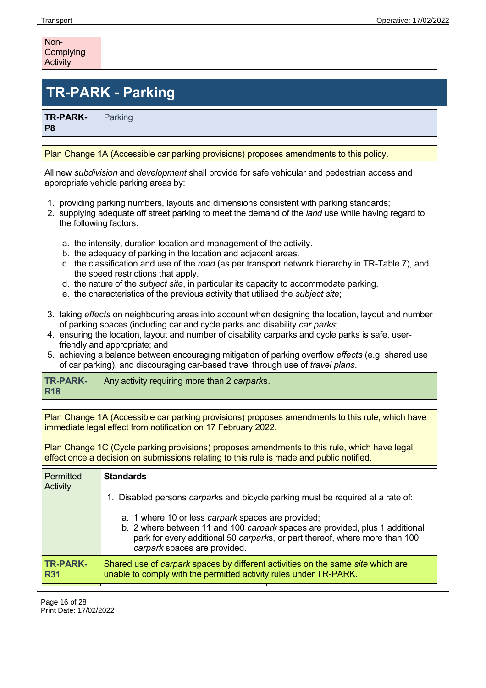| Non-      |  |
|-----------|--|
| Complying |  |
| Activity  |  |

# **TR-PARK - Parking**

Parking

**TR-PARK-P8** 

Plan Change 1A (Accessible car parking provisions) proposes amendments to this policy.

All new *subdivision* and *development* shall provide for safe vehicular and pedestrian access and appropriate vehicle parking areas by:

- 1. providing parking numbers, layouts and dimensions consistent with parking standards;
- 2. supplying adequate off street parking to meet the demand of the *land* use while having regard to the following factors:
	- a. the intensity, duration location and management of the activity.
	- b. the adequacy of parking in the location and adjacent areas.
	- c. the classification and use of the *road* (as per transport network hierarchy in TR-Table 7), and the speed restrictions that apply.
	- d. the nature of the *subject site*, in particular its capacity to accommodate parking.
	- e. the characteristics of the previous activity that utilised the *subject site*;
- 3. taking *effects* on neighbouring areas into account when designing the location, layout and number of parking spaces (including car and cycle parks and disability *car parks*;
- 4. ensuring the location, layout and number of disability carparks and cycle parks is safe, userfriendly and appropriate; and
- 5. achieving a balance between encouraging mitigation of parking overflow *effects* (e.g. shared use of car parking), and discouraging car-based travel through use of *travel plans*.

| <b>TR-PARK-</b><br><b>R18</b> | Any activity requiring more than 2 carparks. |
|-------------------------------|----------------------------------------------|
|-------------------------------|----------------------------------------------|

Plan Change 1A (Accessible car parking provisions) proposes amendments to this rule, which have immediate legal effect from notification on 17 February 2022.

Plan Change 1C (Cycle parking provisions) proposes amendments to this rule, which have legal effect once a decision on submissions relating to this rule is made and public notified.

| Permitted<br>Activity         | <b>Standards</b>                                                                                                                                                                                                                                  |  |  |
|-------------------------------|---------------------------------------------------------------------------------------------------------------------------------------------------------------------------------------------------------------------------------------------------|--|--|
|                               | Disabled persons carparks and bicycle parking must be required at a rate of:                                                                                                                                                                      |  |  |
|                               | a. 1 where 10 or less carpark spaces are provided;<br>b. 2 where between 11 and 100 carpark spaces are provided, plus 1 additional<br>park for every additional 50 carparks, or part thereof, where more than 100<br>carpark spaces are provided. |  |  |
| <b>TR-PARK-</b><br><b>R31</b> | Shared use of <i>carpark</i> spaces by different activities on the same site which are<br>unable to comply with the permitted activity rules under TR-PARK.                                                                                       |  |  |
|                               |                                                                                                                                                                                                                                                   |  |  |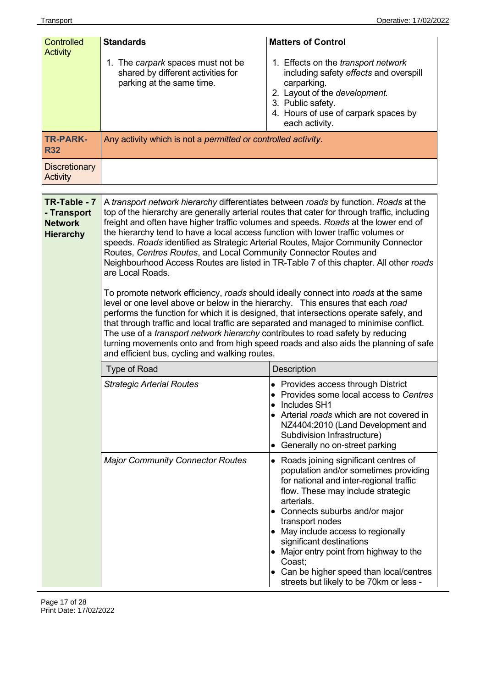| <b>Controlled</b>                                                 | <b>Standards</b>                                                                                                                                                                                                                                                                                                                                                                                                                                                                                                                                                                                                                                                                                                                                                                                                                                                                                                                                                                                                                                                                                                                                                                                                                     | <b>Matters of Control</b>                                                                                                                                                                                                                                                                                                                                                                                                                       |
|-------------------------------------------------------------------|--------------------------------------------------------------------------------------------------------------------------------------------------------------------------------------------------------------------------------------------------------------------------------------------------------------------------------------------------------------------------------------------------------------------------------------------------------------------------------------------------------------------------------------------------------------------------------------------------------------------------------------------------------------------------------------------------------------------------------------------------------------------------------------------------------------------------------------------------------------------------------------------------------------------------------------------------------------------------------------------------------------------------------------------------------------------------------------------------------------------------------------------------------------------------------------------------------------------------------------|-------------------------------------------------------------------------------------------------------------------------------------------------------------------------------------------------------------------------------------------------------------------------------------------------------------------------------------------------------------------------------------------------------------------------------------------------|
| <b>Activity</b>                                                   | 1. The carpark spaces must not be<br>shared by different activities for<br>parking at the same time.                                                                                                                                                                                                                                                                                                                                                                                                                                                                                                                                                                                                                                                                                                                                                                                                                                                                                                                                                                                                                                                                                                                                 | 1. Effects on the transport network<br>including safety effects and overspill<br>carparking.<br>2. Layout of the development.<br>3. Public safety.<br>4. Hours of use of carpark spaces by<br>each activity.                                                                                                                                                                                                                                    |
| <b>TR-PARK-</b><br><b>R32</b>                                     | Any activity which is not a permitted or controlled activity.                                                                                                                                                                                                                                                                                                                                                                                                                                                                                                                                                                                                                                                                                                                                                                                                                                                                                                                                                                                                                                                                                                                                                                        |                                                                                                                                                                                                                                                                                                                                                                                                                                                 |
| <b>Discretionary</b><br><b>Activity</b>                           |                                                                                                                                                                                                                                                                                                                                                                                                                                                                                                                                                                                                                                                                                                                                                                                                                                                                                                                                                                                                                                                                                                                                                                                                                                      |                                                                                                                                                                                                                                                                                                                                                                                                                                                 |
| TR-Table - 7<br>- Transport<br><b>Network</b><br><b>Hierarchy</b> | A transport network hierarchy differentiates between roads by function. Roads at the<br>top of the hierarchy are generally arterial routes that cater for through traffic, including<br>freight and often have higher traffic volumes and speeds. Roads at the lower end of<br>the hierarchy tend to have a local access function with lower traffic volumes or<br>speeds. Roads identified as Strategic Arterial Routes, Major Community Connector<br>Routes, Centres Routes, and Local Community Connector Routes and<br>Neighbourhood Access Routes are listed in TR-Table 7 of this chapter. All other roads<br>are Local Roads.<br>To promote network efficiency, roads should ideally connect into roads at the same<br>level or one level above or below in the hierarchy. This ensures that each road<br>performs the function for which it is designed, that intersections operate safely, and<br>that through traffic and local traffic are separated and managed to minimise conflict.<br>The use of a <i>transport network hierarchy</i> contributes to road safety by reducing<br>turning movements onto and from high speed roads and also aids the planning of safe<br>and efficient bus, cycling and walking routes. |                                                                                                                                                                                                                                                                                                                                                                                                                                                 |
|                                                                   | <b>Type of Road</b>                                                                                                                                                                                                                                                                                                                                                                                                                                                                                                                                                                                                                                                                                                                                                                                                                                                                                                                                                                                                                                                                                                                                                                                                                  | Description                                                                                                                                                                                                                                                                                                                                                                                                                                     |
|                                                                   | <b>Strategic Arterial Routes</b>                                                                                                                                                                                                                                                                                                                                                                                                                                                                                                                                                                                                                                                                                                                                                                                                                                                                                                                                                                                                                                                                                                                                                                                                     | • Provides access through District<br>• Provides some local access to Centres<br>Includes SH1<br>• Arterial roads which are not covered in<br>NZ4404:2010 (Land Development and<br>Subdivision Infrastructure)<br>Generally no on-street parking                                                                                                                                                                                                |
|                                                                   | <b>Major Community Connector Routes</b>                                                                                                                                                                                                                                                                                                                                                                                                                                                                                                                                                                                                                                                                                                                                                                                                                                                                                                                                                                                                                                                                                                                                                                                              | • Roads joining significant centres of<br>population and/or sometimes providing<br>for national and inter-regional traffic<br>flow. These may include strategic<br>arterials.<br>• Connects suburbs and/or major<br>transport nodes<br>• May include access to regionally<br>significant destinations<br>Major entry point from highway to the<br>Coast;<br>• Can be higher speed than local/centres<br>streets but likely to be 70km or less - |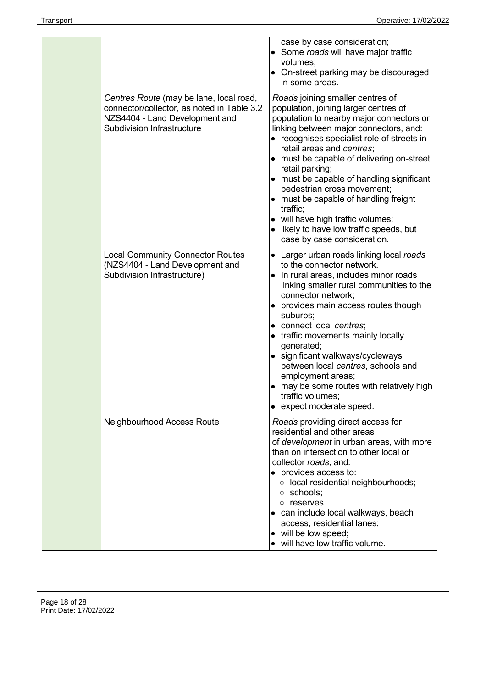|                                                                                                                                                              | case by case consideration;<br>• Some roads will have major traffic<br>volumes;<br>• On-street parking may be discouraged<br>in some areas.                                                                                                                                                                                                                                                                                                                                                                                                                |
|--------------------------------------------------------------------------------------------------------------------------------------------------------------|------------------------------------------------------------------------------------------------------------------------------------------------------------------------------------------------------------------------------------------------------------------------------------------------------------------------------------------------------------------------------------------------------------------------------------------------------------------------------------------------------------------------------------------------------------|
| Centres Route (may be lane, local road,<br>connector/collector, as noted in Table 3.2<br>NZS4404 - Land Development and<br><b>Subdivision Infrastructure</b> | Roads joining smaller centres of<br>population, joining larger centres of<br>population to nearby major connectors or<br>linking between major connectors, and:<br>• recognises specialist role of streets in<br>retail areas and centres;<br>• must be capable of delivering on-street<br>retail parking;<br>• must be capable of handling significant<br>pedestrian cross movement;<br>• must be capable of handling freight<br>traffic;<br>• will have high traffic volumes;<br>• likely to have low traffic speeds, but<br>case by case consideration. |
| <b>Local Community Connector Routes</b><br>(NZS4404 - Land Development and<br>Subdivision Infrastructure)                                                    | • Larger urban roads linking local roads<br>to the connector network.<br>• In rural areas, includes minor roads<br>linking smaller rural communities to the<br>connector network;<br>• provides main access routes though<br>suburbs;<br>• connect local centres;<br>• traffic movements mainly locally<br>generated;<br>• significant walkways/cycleways<br>between local centres, schools and<br>employment areas;<br>• may be some routes with relatively high<br>traffic volumes;<br>• expect moderate speed.                                          |
| Neighbourhood Access Route                                                                                                                                   | Roads providing direct access for<br>residential and other areas<br>of development in urban areas, with more<br>than on intersection to other local or<br>collector roads, and:<br>• provides access to:<br>· local residential neighbourhoods;<br>o schools;<br>o reserves.<br>• can include local walkways, beach<br>access, residential lanes;<br>• will be low speed;<br>• will have low traffic volume.                                                                                                                                               |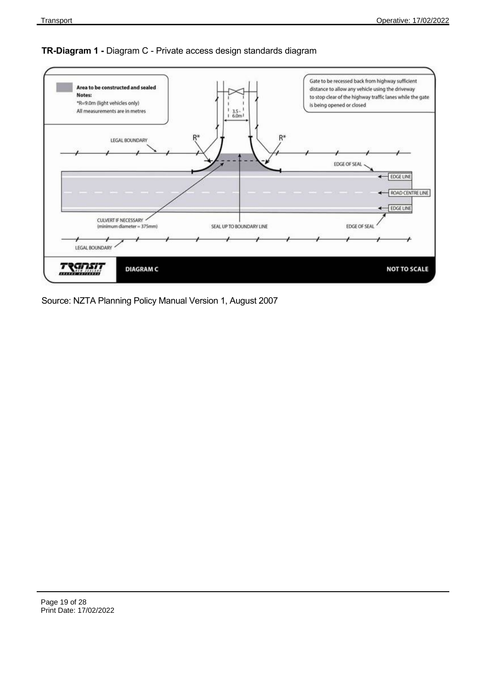### **TR-Diagram 1 -** Diagram C - Private access design standards diagram



Source: NZTA Planning Policy Manual Version 1, August 2007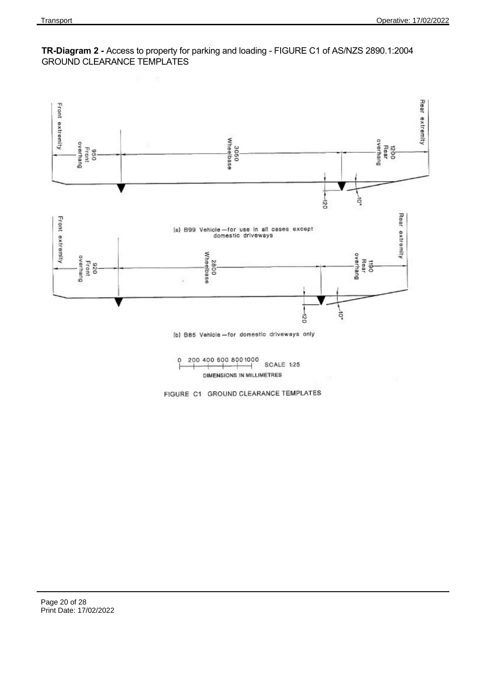

### **TR-Diagram 2 -** Access to property for parking and loading - FIGURE C1 of AS/NZS 2890.1:2004 GROUND CLEARANCE TEMPLATES

200 400 600 800 1000  $\circ$ SCALE 1:25 ⊣ DIMENSIONS IN MILLIMETRES

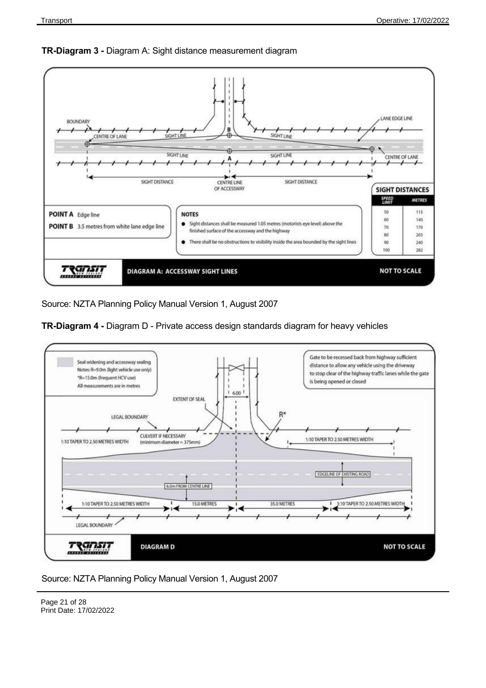

### **TR-Diagram 3 -** Diagram A: Sight distance measurement diagram

Source: NZTA Planning Policy Manual Version 1, August 2007



**TR-Diagram 4 -** Diagram D - Private access design standards diagram for heavy vehicles

Source: NZTA Planning Policy Manual Version 1, August 2007

Page 21 of 28 Print Date: 17/02/2022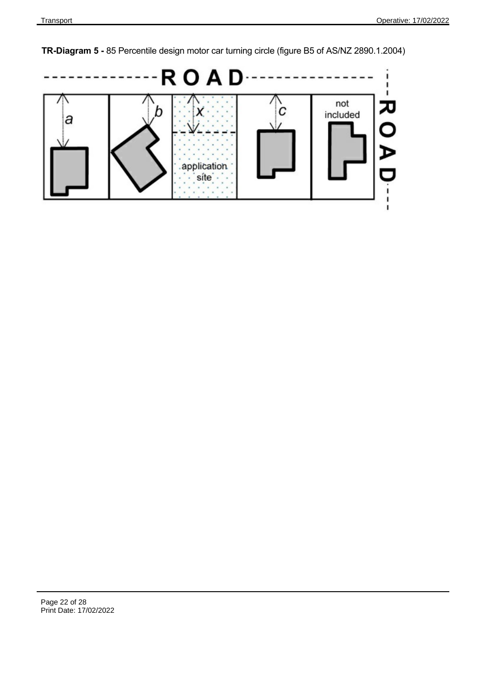**TR-Diagram 5 -** 85 Percentile design motor car turning circle (figure B5 of AS/NZ 2890.1.2004)

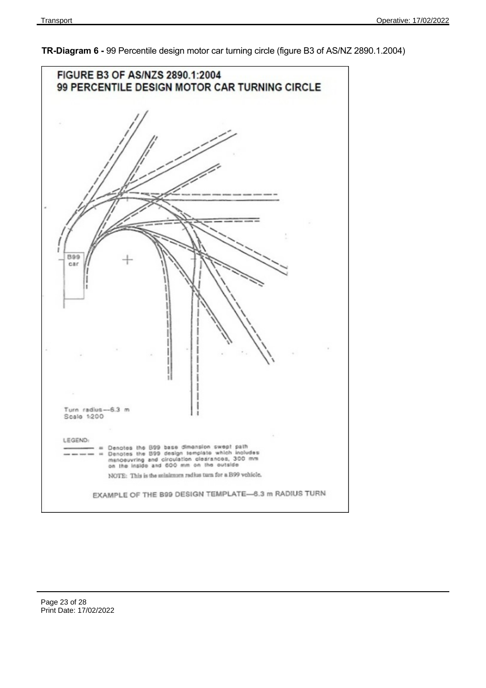

**TR-Diagram 6 -** 99 Percentile design motor car turning circle (figure B3 of AS/NZ 2890.1.2004)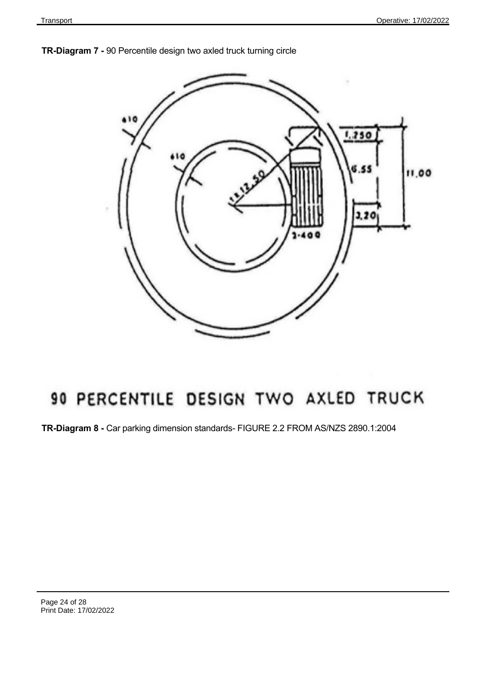



# 90 PERCENTILE DESIGN TWO AXLED TRUCK

**TR-Diagram 8 -** Car parking dimension standards- FIGURE 2.2 FROM AS/NZS 2890.1:2004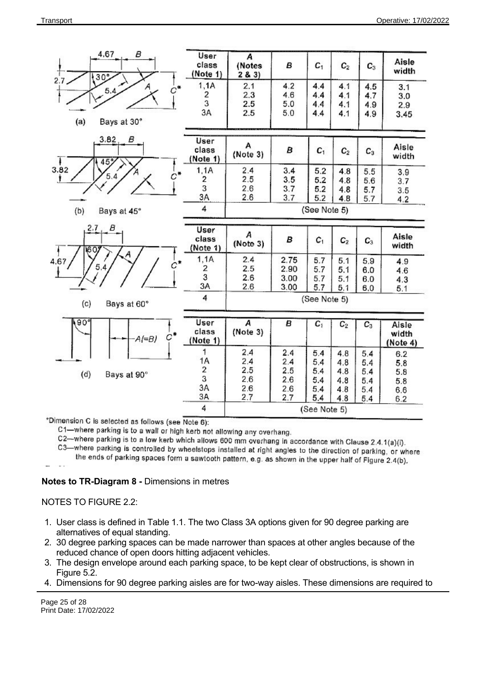

\*Dimension C is selected as follows (see Note 6):

C1-where parking is to a wall or high kerb not allowing any overhang.

C2—where parking is to a low kerb which allows 600 mm overhang in accordance with Clause 2.4.1(a)(i).

C3—where parking is controlled by wheelstops installed at right angles to the direction of parking, or where

the ends of parking spaces form a sawtooth pattern, e.g. as shown in the upper half of Figure 2.4(b),

### **Notes to TR-Diagram 8 -** Dimensions in metres

#### NOTES TO FIGURE 2.2:

- 1. User class is defined in Table 1.1. The two Class 3A options given for 90 degree parking are alternatives of equal standing.
- 2. 30 degree parking spaces can be made narrower than spaces at other angles because of the reduced chance of open doors hitting adjacent vehicles.
- 3. The design envelope around each parking space, to be kept clear of obstructions, is shown in Figure 5.2.
- 4. Dimensions for 90 degree parking aisles are for two-way aisles. These dimensions are required to

Page 25 of 28 Print Date: 17/02/2022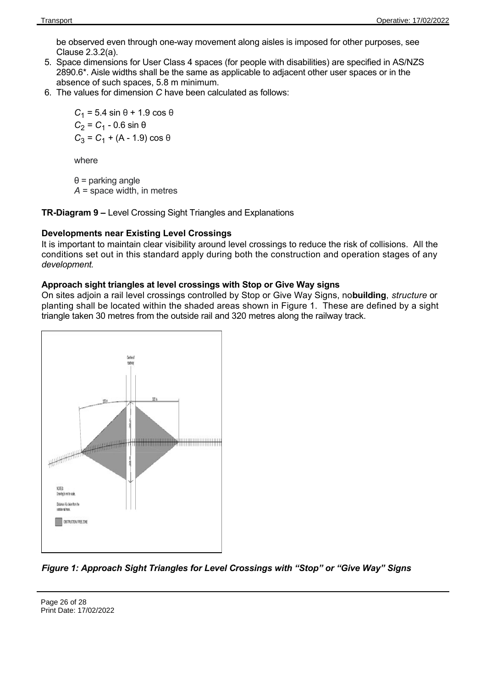be observed even through one-way movement along aisles is imposed for other purposes, see Clause 2.3.2(a).

- 5. Space dimensions for User Class 4 spaces (for people with disabilities) are specified in AS/NZS 2890.6\*. Aisle widths shall be the same as applicable to adjacent other user spaces or in the absence of such spaces, 5.8 m minimum.
- 6. The values for dimension *C* have been calculated as follows:

 $C_1$  = 5.4 sin θ + 1.9 cos θ  $C_2$  =  $C_1$  - 0.6 sin θ  $C_3$  =  $C_1$  + (A - 1.9) cos θ

where

θ = parking angle *A* = space width, in metres

**TR-Diagram 9 –** Level Crossing Sight Triangles and Explanations

### **Developments near Existing Level Crossings**

It is important to maintain clear visibility around level crossings to reduce the risk of collisions. All the conditions set out in this standard apply during both the construction and operation stages of any *development.*

### **Approach sight triangles at level crossings with Stop or Give Way signs**

On sites adjoin a rail level crossings controlled by Stop or Give Way Signs, no **building**, *structure* or planting shall be located within the shaded areas shown in Figure 1. These are defined by a sight triangle taken 30 metres from the outside rail and 320 metres along the railway track.



*Figure 1: Approach Sight Triangles for Level Crossings with "Stop" or "Give Way" Signs*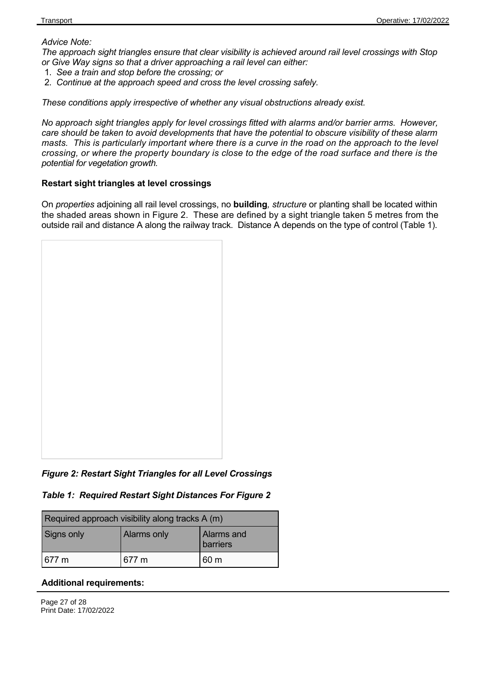### *Advice Note:*

*The approach sight triangles ensure that clear visibility is achieved around rail level crossings with Stop or Give Way signs so that a driver approaching a rail level can either:*

- 1. *See a train and stop before the crossing; or*
- 2. *Continue at the approach speed and cross the level crossing safely.*

*These conditions apply irrespective of whether any visual obstructions already exist.*

*No approach sight triangles apply for level crossings fitted with alarms and/or barrier arms. However, care should be taken to avoid developments that have the potential to obscure visibility of these alarm masts. This is particularly important where there is a curve in the road on the approach to the level crossing, or where the property boundary is close to the edge of the road surface and there is the potential for vegetation growth.*

### **Restart sight triangles at level crossings**

On *properties* adjoining all rail level crossings, no **building***, structure* or planting shall be located within the shaded areas shown in Figure 2. These are defined by a sight triangle taken 5 metres from the outside rail and distance A along the railway track. Distance A depends on the type of control (Table 1).



*Figure 2: Restart Sight Triangles for all Level Crossings*

*Table 1: Required Restart Sight Distances For Figure 2*

| Required approach visibility along tracks A (m) |             |                        |  |
|-------------------------------------------------|-------------|------------------------|--|
| Signs only                                      | Alarms only | Alarms and<br>barriers |  |
| 1677 m                                          | 677 m       | 60 <sub>m</sub>        |  |

### **Additional requirements:**

Page 27 of 28 Print Date: 17/02/2022